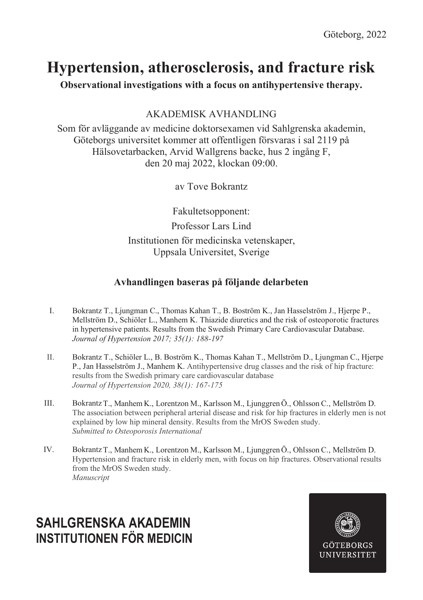# **Hypertension, atherosclerosis, and fracture risk**

**Observational investigations with a focus on antihypertensive therapy.**

## AKADEMISK AVHANDLING

Som för avläggande av medicine doktorsexamen vid Sahlgrenska akademin, Göteborgs universitet kommer att offentligen försvaras i sal 2119 på Hälsovetarbacken, Arvid Wallgrens backe, hus 2 ingång F, den 20 maj 2022, klockan 09:00.

av Tove Bokrantz

Fakultetsopponent: Professor Lars Lind Institutionen för medicinska vetenskaper, Uppsala Universitet, Sverige

## **Avhandlingen baseras på följande delarbeten**

- I. Bokrantz T., Ljungman C., Thomas Kahan T., B. Boström K., Jan Hasselström J., Hjerpe P., Mellström D., Schiöler L., Manhem K. Thiazide diuretics and the risk of osteoporotic fractures in hypertensive patients. Results from the Swedish Primary Care Cardiovascular Database. *Journal of Hypertension 2017; 35(1): 188-197*
- II. Bokrantz T., Schiöler L., B. Boström K., Thomas Kahan T., Mellström D., Ljungman C., Hjerpe P., Jan Hasselström J., Manhem K. Antihypertensive drug classes and the risk of hip fracture: results from the Swedish primary care cardiovascular database *Journal of Hypertension 2020, 38(1): 167-175*
- III. BokrantzT., Manhem K., Lorentzon M., Karlsson M., Ljunggren Ö., Ohlsson C., Mellström D. The association between peripheral arterial disease and risk for hip fractures in elderly men is not explained by low hip mineral density. Results from the MrOS Sweden study. *Submitted to Osteoporosis International*
- IV. Bokrantz T., Manhem K., Lorentzon M., Karlsson M., Ljunggren Ö., Ohlsson C., Mellström D. Hypertension and fracture risk in elderly men, with focus on hip fractures. Observational results from the MrOS Sweden study. *Manuscript*

## **SAHLGRENSKA AKADEMIN INSTITUTIONEN FÖR MEDICIN**